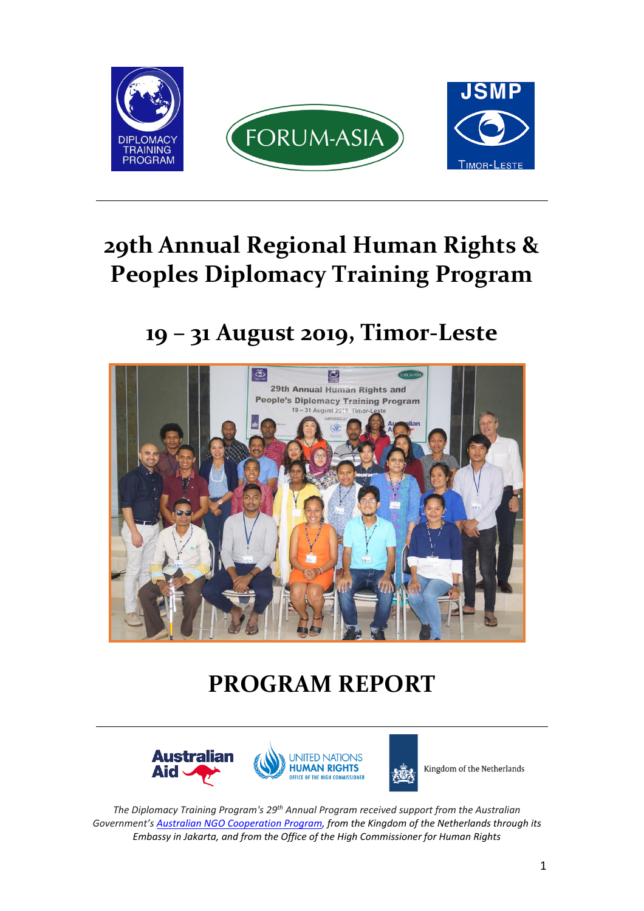

# **29th Annual Regional Human Rights & Peoples Diplomacy Training Program**

**19 – 31 August 2019, Timor-Leste**



# **PROGRAM REPORT**



Kingdom of the Netherlands

*The Diplomacy Training Program's 29th Annual Program received support from the Australian Government's Australian NGO [Cooperation](https://dfat.gov.au/aid/who-we-work-with/ngos/ancp/Pages/australian-ngo-cooperation-program.aspx) Program, from the Kingdom of the Netherlands through its Embassy in Jakarta, and from the Office of the High Commissioner for Human Rights*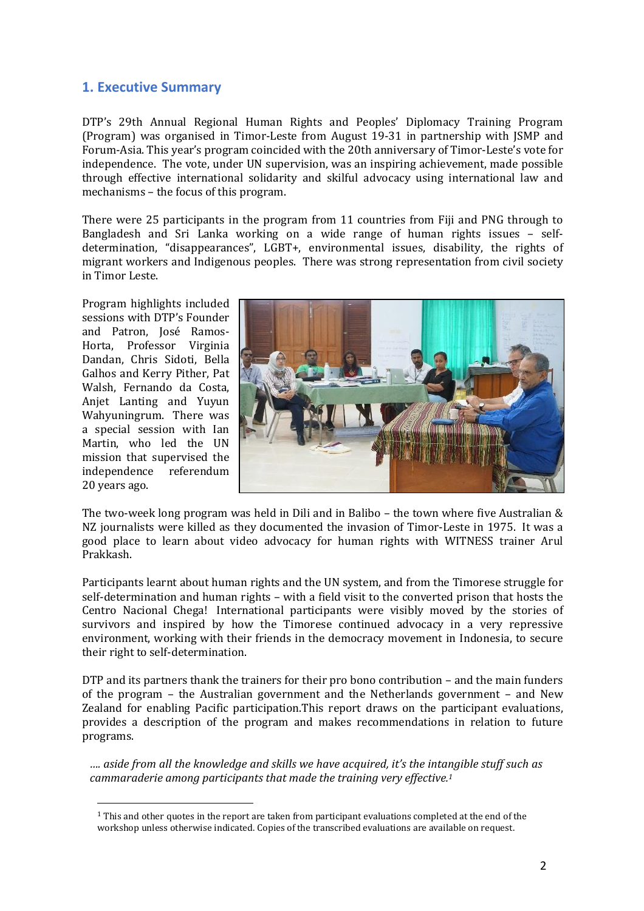### **1. Executive Summary**

DTP's 29th Annual Regional Human Rights and Peoples' Diplomacy Training Program (Program) was organised in Timor-Leste from August 19-31 in partnership with JSMP and Forum-Asia. This year's program coincided with the 20th anniversary of Timor-Leste's vote for independence. The vote, under UN supervision, was an inspiring achievement, made possible through effective international solidarity and skilful advocacy using international law and mechanisms – the focus of this program.

There were 25 participants in the program from 11 countries from Fiji and PNG through to Bangladesh and Sri Lanka working on a wide range of human rights issues – selfdetermination, "disappearances", LGBT+, environmental issues, disability, the rights of migrant workers and Indigenous peoples. There was strong representation from civil society in Timor Leste.

Program highlights included sessions with DTP's Founder and Patron, José Ramos-Horta, Professor Virginia Dandan, Chris Sidoti, Bella Galhos and Kerry Pither, Pat Walsh, Fernando da Costa, Anjet Lanting and Yuyun Wahyuningrum. There was a special session with Ian Martin, who led the UN mission that supervised the independence referendum 20 years ago.



The two-week long program was held in Dili and in Balibo – the town where five Australian & NZ journalists were killed as they documented the invasion of Timor-Leste in 1975. It was a good place to learn about video advocacy for human rights with WITNESS trainer Arul Prakkash.

Participants learnt about human rights and the UN system, and from the Timorese struggle for self-determination and human rights – with a field visit to the converted prison that hosts the Centro Nacional Chega! International participants were visibly moved by the stories of survivors and inspired by how the Timorese continued advocacy in a very repressive environment, working with their friends in the democracy movement in Indonesia, to secure their right to self-determination.

DTP and its partners thank the trainers for their pro bono contribution – and the main funders of the program – the Australian government and the Netherlands government – and New Zealand for enabling Pacific participation.This report draws on the participant evaluations, provides a description of the program and makes recommendations in relation to future programs.

*…. aside from all the knowledge and skills we have acquired, it's the intangible stuff such as cammaraderie among participants that made the training very effective.<sup>1</sup>*

<sup>1</sup> This and other quotes in the report are taken from participant evaluations completed at the end of the workshop unless otherwise indicated. Copies of the transcribed evaluations are available on request.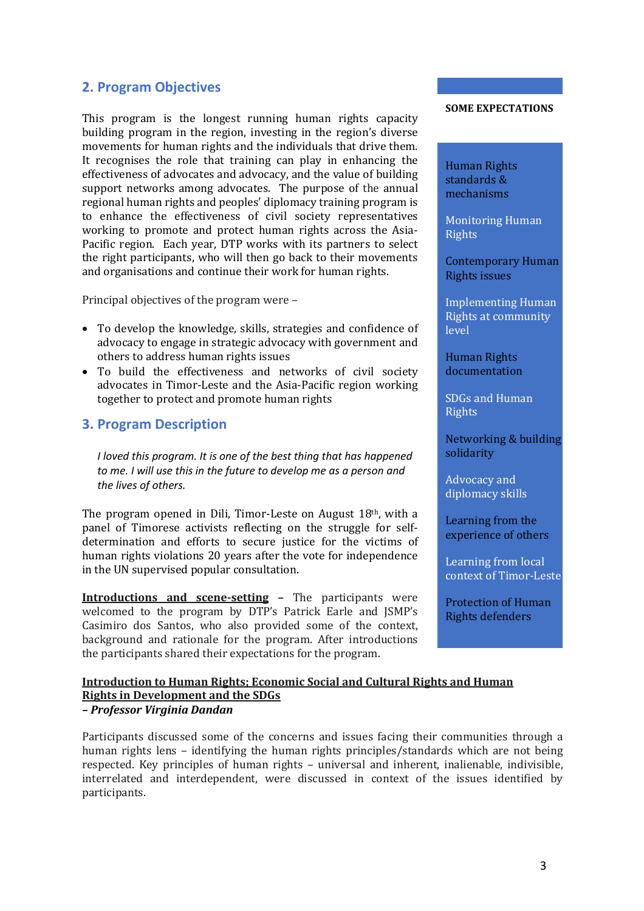## **2. Program Objectives**

This program is the longest running human rights capacity building program in the region, investing in the region's diverse movements for human rights and the individuals that drive them. It recognises the role that training can play in enhancing the effectiveness of advocates and advocacy, and the value of building support networks among advocates. The purpose of the annual regional human rights and peoples' diplomacy training program is to enhance the effectiveness of civil society representatives working to promote and protect human rights across the Asia-Pacific region. Each year, DTP works with its partners to select the right participants, who will then go back to their movements and organisations and continue their work for human rights.

Principal objectives of the program were –

- To develop the knowledge, skills, strategies and confidence of advocacy to engage in strategic advocacy with government and others to address human rights issues
- To build the effectiveness and networks of civil society advocates in Timor-Leste and the Asia-Pacific region working together to protect and promote human rights

### **3. Program Description**

*I loved this program. It is one of the best thing that has happened to me. I will use this in the future to develop me as a person and the lives of others.*

The program opened in Dili, Timor-Leste on August 18<sup>th</sup>, with a panel of Timorese activists reflecting on the struggle for selfdetermination and efforts to secure justice for the victims of human rights violations 20 years after the vote for independence in the UN supervised popular consultation.

**Introductions and scene-setting –** The participants were welcomed to the program by DTP's Patrick Earle and JSMP's Casimiro dos Santos, who also provided some of the context, background and rationale for the program. After introductions the participants shared their expectations for the program.

#### **SOME EXPECTATIONS**

Human Rights standards & mechanisms

Monitoring Human **Rights** 

Contemporary Human Rights issues

Implementing Human Rights at community level

Human Rights documentation

SDGs and Human Rights

Networking & building solidarity

Advocacy and diplomacy skills

Learning from the experience of others

Learning from local context of Timor-Leste

Protection of Human Rights defenders

#### **Introduction to Human Rights; Economic Social and Cultural Rights and Human Rights in Development and the SDGs** *– Professor Virginia Dandan*

Participants discussed some of the concerns and issues facing their communities through a human rights lens – identifying the human rights principles/standards which are not being respected. Key principles of human rights – universal and inherent, inalienable, indivisible, interrelated and interdependent, were discussed in context of the issues identified by participants.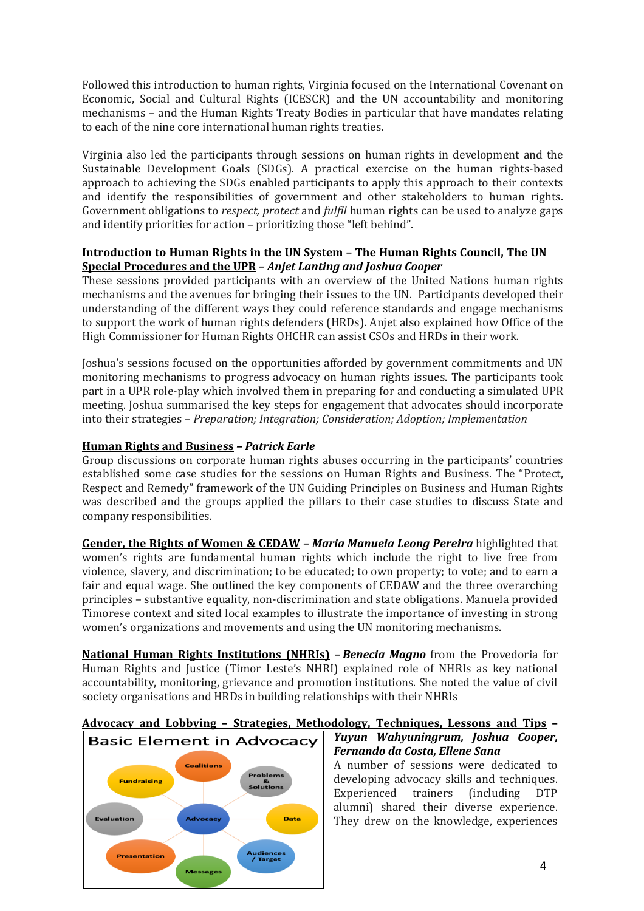Followed this introduction to human rights, Virginia focused on the International Covenant on Economic, Social and Cultural Rights (ICESCR) and the UN accountability and monitoring mechanisms – and the Human Rights Treaty Bodies in particular that have mandates relating to each of the nine core international human rights treaties.

Virginia also led the participants through sessions on human rights in development and the Sustainable Development Goals (SDGs). A practical exercise on the human rights-based approach to achieving the SDGs enabled participants to apply this approach to their contexts and identify the responsibilities of government and other stakeholders to human rights. Government obligations to *respect, protect* and *fulfil* human rights can be used to analyze gaps and identify priorities for action – prioritizing those "left behind".

#### **Introduction to Human Rights in the UN System – The Human Rights Council, The UN Special Procedures and the UPR** *– Anjet Lanting and Joshua Cooper*

These sessions provided participants with an overview of the United Nations human rights mechanisms and the avenues for bringing their issues to the UN. Participants developed their understanding of the different ways they could reference standards and engage mechanisms to support the work of human rights defenders (HRDs). Anjet also explained how Office of the High Commissioner for Human Rights OHCHR can assist CSOs and HRDs in their work.

Joshua's sessions focused on the opportunities afforded by government commitments and UN monitoring mechanisms to progress advocacy on human rights issues. The participants took part in a UPR role-play which involved them in preparing for and conducting a simulated UPR meeting. Joshua summarised the key steps for engagement that advocates should incorporate into their strategies – *Preparation; Integration; Consideration; Adoption; Implementation*

#### **Human Rights and Business** *– Patrick Earle*

Group discussions on corporate human rights abuses occurring in the participants' countries established some case studies for the sessions on Human Rights and Business. The "Protect, Respect and Remedy" framework of the UN Guiding Principles on Business and Human Rights was described and the groups applied the pillars to their case studies to discuss State and company responsibilities.

**Gender, the Rights of Women & CEDAW** *– Maria Manuela Leong Pereira* highlighted that women's rights are fundamental human rights which include the right to live free from violence, slavery, and discrimination; to be educated; to own property; to vote; and to earn a fair and equal wage. She outlined the key components of CEDAW and the three overarching principles – substantive equality, non-discrimination and state obligations. Manuela provided Timorese context and sited local examples to illustrate the importance of investing in strong women's organizations and movements and using the UN monitoring mechanisms.

**National Human Rights Institutions (NHRIs)** *– Benecia Magno* from the Provedoria for Human Rights and Justice (Timor Leste's NHRI) explained role of NHRIs as key national accountability, monitoring, grievance and promotion institutions. She noted the value of civil society organisations and HRDs in building relationships with their NHRIs

## **Advocacy and Lobbying – Strategies, Methodology, Techniques, Lessons and Tips –**



### *Yuyun Wahyuningrum, Joshua Cooper, Fernando da Costa, Ellene Sana*

A number of sessions were dedicated to developing advocacy skills and techniques. Experienced trainers (including DTP alumni) shared their diverse experience. They drew on the knowledge, experiences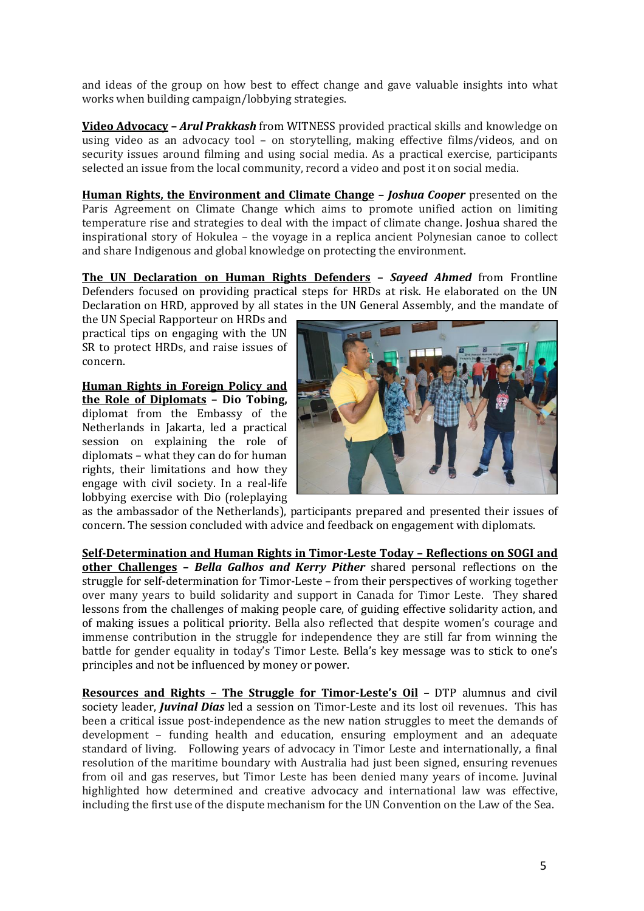and ideas of the group on how best to effect change and gave valuable insights into what works when building campaign/lobbying strategies.

**Video Advocacy –** *Arul Prakkash* from WITNESS provided practical skills and knowledge on using video as an advocacy tool – on storytelling, making effective films/videos, and on security issues around filming and using social media. As a practical exercise, participants selected an issue from the local community, record a video and post it on social media.

**Human Rights, the Environment and Climate Change –** *Joshua Cooper* presented on the Paris Agreement on Climate Change which aims to promote unified action on limiting temperature rise and strategies to deal with the impact of climate change. Joshua shared the inspirational story of Hokulea – the voyage in a replica ancient Polynesian canoe to collect and share Indigenous and global knowledge on protecting the environment.

**The UN Declaration on Human Rights Defenders –** *Sayeed Ahmed* from Frontline Defenders focused on providing practical steps for HRDs at risk. He elaborated on the UN Declaration on HRD, approved by all states in the UN General Assembly, and the mandate of

the UN Special Rapporteur on HRDs and practical tips on engaging with the UN SR to protect HRDs, and raise issues of concern.

**Human Rights in Foreign Policy and the Role of Diplomats – Dio Tobing,**  diplomat from the Embassy of the Netherlands in Jakarta, led a practical session on explaining the role of diplomats – what they can do for human rights, their limitations and how they engage with civil society. In a real-life lobbying exercise with Dio (roleplaying



as the ambassador of the Netherlands), participants prepared and presented their issues of concern. The session concluded with advice and feedback on engagement with diplomats.

**Self-Determination and Human Rights in Timor-Leste Today – Reflections on SOGI and other Challenges –** *Bella Galhos and Kerry Pither* shared personal reflections on the struggle for self-determination for Timor-Leste – from their perspectives of working together over many years to build solidarity and support in Canada for Timor Leste. They shared lessons from the challenges of making people care, of guiding effective solidarity action, and of making issues a political priority. Bella also reflected that despite women's courage and immense contribution in the struggle for independence they are still far from winning the battle for gender equality in today's Timor Leste. Bella's key message was to stick to one's principles and not be influenced by money or power.

**Resources and Rights – The Struggle for Timor-Leste's Oil** *–* DTP alumnus and civil society leader, *Juvinal Dias* led a session on Timor-Leste and its lost oil revenues. This has been a critical issue post-independence as the new nation struggles to meet the demands of development – funding health and education, ensuring employment and an adequate standard of living. Following years of advocacy in Timor Leste and internationally, a final resolution of the maritime boundary with Australia had just been signed, ensuring revenues from oil and gas reserves, but Timor Leste has been denied many years of income. Juvinal highlighted how determined and creative advocacy and international law was effective, including the first use of the dispute mechanism for the UN Convention on the Law of the Sea.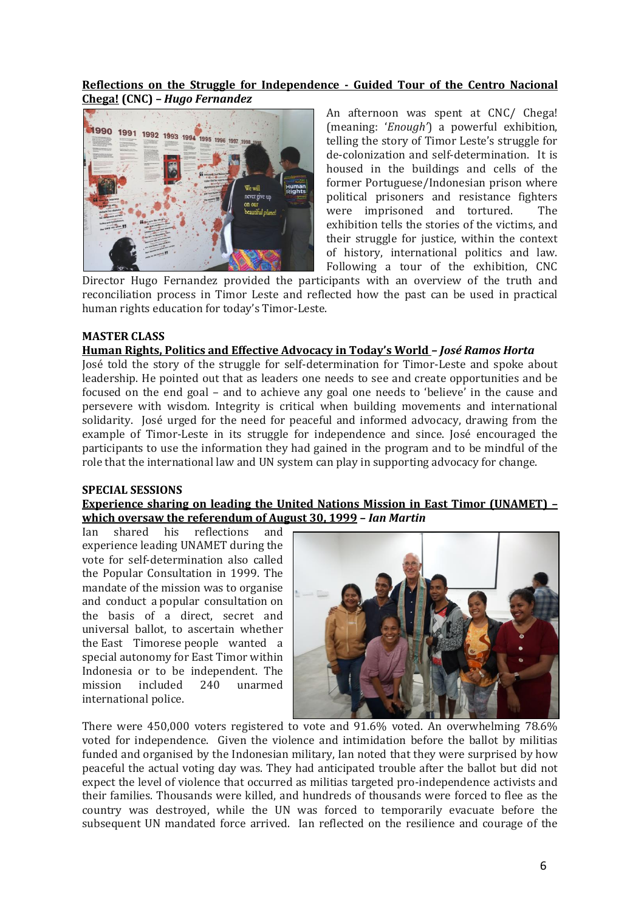#### **Reflections on the Struggle for Independence - Guided Tour of the Centro Nacional Chega! (CNC) –** *Hugo Fernandez*



An afternoon was spent at CNC/ Chega! (meaning: '*Enough'*) a powerful exhibition, telling the story of Timor Leste's struggle for de-colonization and self-determination. It is housed in the buildings and cells of the former Portuguese/Indonesian prison where political prisoners and resistance fighters were imprisoned and tortured. The exhibition tells the stories of the victims, and their struggle for justice, within the context of history, international politics and law. Following a tour of the exhibition, CNC

Director Hugo Fernandez provided the participants with an overview of the truth and reconciliation process in Timor Leste and reflected how the past can be used in practical human rights education for today's Timor-Leste.

#### **MASTER CLASS**

#### **Human Rights, Politics and Effective Advocacy in Today's World** *– José Ramos Horta*

José told the story of the struggle for self-determination for Timor-Leste and spoke about leadership. He pointed out that as leaders one needs to see and create opportunities and be focused on the end goal – and to achieve any goal one needs to 'believe' in the cause and persevere with wisdom. Integrity is critical when building movements and international solidarity. José urged for the need for peaceful and informed advocacy, drawing from the example of Timor-Leste in its struggle for independence and since. José encouraged the participants to use the information they had gained in the program and to be mindful of the role that the international law and UN system can play in supporting advocacy for change.

#### **SPECIAL SESSIONS**

#### **Experience sharing on leading the United Nations Mission in East Timor (UNAMET) – which oversaw the referendum of August 30, 1999 –** *Ian Martin*

Ian shared his reflections and experience leading UNAMET during the vote for self-determination also called the Popular Consultation in 1999. The mandate of the mission was to organise and conduct a popular consultation on the basis of a direct, secret and universal ballot, to ascertain whether the East Timorese people wanted a special autonomy for East Timor within Indonesia or to be independent. The mission included 240 unarmed international police.



There were 450,000 voters registered to vote and 91.6% voted. An overwhelming 78.6% voted for independence. Given the violence and intimidation before the ballot by militias funded and organised by the Indonesian military, Ian noted that they were surprised by how peaceful the actual voting day was. They had anticipated trouble after the ballot but did not expect the level of violence that occurred as militias targeted pro-independence activists and their families. Thousands were killed, and hundreds of thousands were forced to flee as the country was destroyed, while the UN was forced to temporarily evacuate before the subsequent UN mandated force arrived. Ian reflected on the resilience and courage of the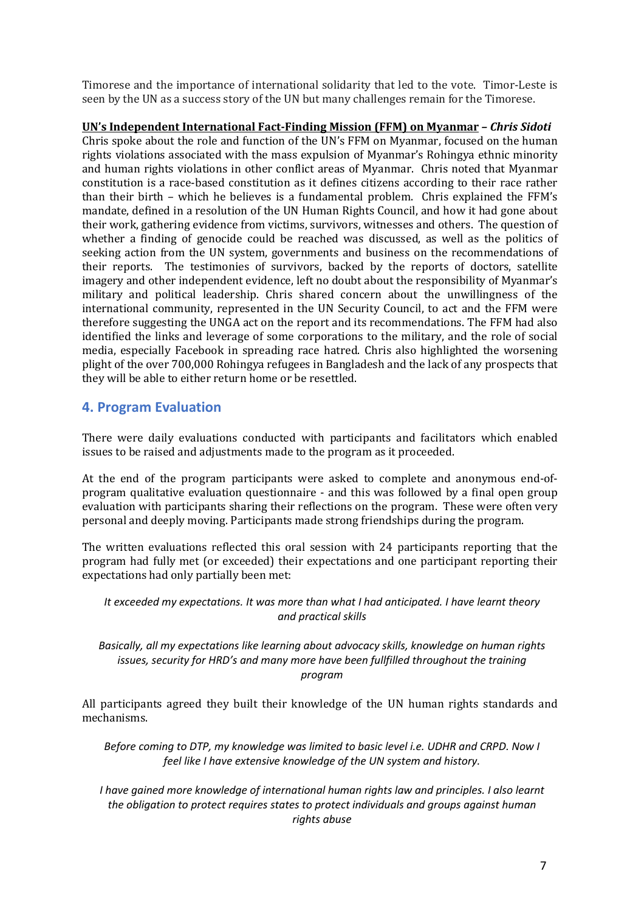Timorese and the importance of international solidarity that led to the vote. Timor-Leste is seen by the UN as a success story of the UN but many challenges remain for the Timorese.

**UN's Independent International Fact-Finding Mission (FFM) on Myanmar** *– Chris Sidoti* Chris spoke about the role and function of the UN's FFM on Myanmar, focused on the human rights violations associated with the mass expulsion of Myanmar's Rohingya ethnic minority and human rights violations in other conflict areas of Myanmar. Chris noted that Myanmar constitution is a race-based constitution as it defines citizens according to their race rather than their birth – which he believes is a fundamental problem. Chris explained the FFM's mandate, defined in a resolution of the UN Human Rights Council, and how it had gone about their work, gathering evidence from victims, survivors, witnesses and others. The question of whether a finding of genocide could be reached was discussed, as well as the politics of seeking action from the UN system, governments and business on the recommendations of their reports. The testimonies of survivors, backed by the reports of doctors, satellite imagery and other independent evidence, left no doubt about the responsibility of Myanmar's military and political leadership. Chris shared concern about the unwillingness of the international community, represented in the UN Security Council, to act and the FFM were therefore suggesting the UNGA act on the report and its recommendations. The FFM had also identified the links and leverage of some corporations to the military, and the role of social media, especially Facebook in spreading race hatred. Chris also highlighted the worsening plight of the over 700,000 Rohingya refugees in Bangladesh and the lack of any prospects that they will be able to either return home or be resettled.

### **4. Program Evaluation**

There were daily evaluations conducted with participants and facilitators which enabled issues to be raised and adjustments made to the program as it proceeded.

At the end of the program participants were asked to complete and anonymous end-ofprogram qualitative evaluation questionnaire - and this was followed by a final open group evaluation with participants sharing their reflections on the program. These were often very personal and deeply moving. Participants made strong friendships during the program.

The written evaluations reflected this oral session with 24 participants reporting that the program had fully met (or exceeded) their expectations and one participant reporting their expectations had only partially been met:

*It exceeded my expectations. It was more than what I had anticipated. I have learnt theory and practical skills*

*Basically, all my expectations like learning about advocacy skills, knowledge on human rights issues, security for HRD's and many more have been fullfilled throughout the training program*

All participants agreed they built their knowledge of the UN human rights standards and mechanisms.

*Before coming to DTP, my knowledge was limited to basic level i.e. UDHR and CRPD. Now I feel like I have extensive knowledge of the UN system and history.*

*I have gained more knowledge of international human rights law and principles. I also learnt the obligation to protect requires states to protect individuals and groups against human rights abuse*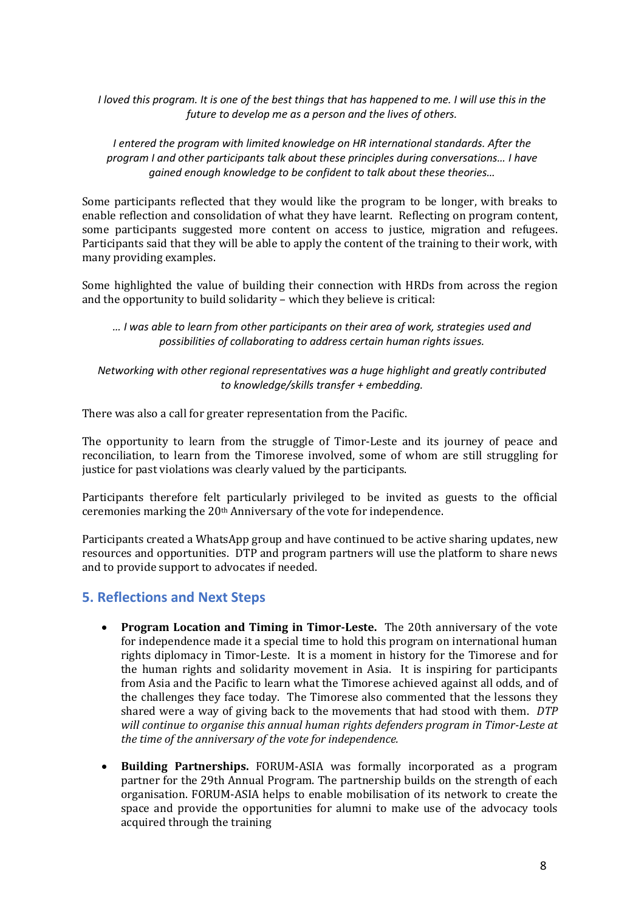*I loved this program. It is one of the best things that has happened to me. I will use this in the future to develop me as a person and the lives of others.*

*I entered the program with limited knowledge on HR international standards. After the program I and other participants talk about these principles during conversations… I have gained enough knowledge to be confident to talk about these theories…*

Some participants reflected that they would like the program to be longer, with breaks to enable reflection and consolidation of what they have learnt. Reflecting on program content, some participants suggested more content on access to justice, migration and refugees. Participants said that they will be able to apply the content of the training to their work, with many providing examples.

Some highlighted the value of building their connection with HRDs from across the region and the opportunity to build solidarity – which they believe is critical:

*… I was able to learn from other participants on their area of work, strategies used and possibilities of collaborating to address certain human rights issues.*

#### *Networking with other regional representatives was a huge highlight and greatly contributed to knowledge/skills transfer + embedding.*

There was also a call for greater representation from the Pacific.

The opportunity to learn from the struggle of Timor-Leste and its journey of peace and reconciliation, to learn from the Timorese involved, some of whom are still struggling for justice for past violations was clearly valued by the participants.

Participants therefore felt particularly privileged to be invited as guests to the official ceremonies marking the 20th Anniversary of the vote for independence.

Participants created a WhatsApp group and have continued to be active sharing updates, new resources and opportunities. DTP and program partners will use the platform to share news and to provide support to advocates if needed.

### **5. Reflections and Next Steps**

- **Program Location and Timing in Timor-Leste.** The 20th anniversary of the vote for independence made it a special time to hold this program on international human rights diplomacy in Timor-Leste. It is a moment in history for the Timorese and for the human rights and solidarity movement in Asia. It is inspiring for participants from Asia and the Pacific to learn what the Timorese achieved against all odds, and of the challenges they face today. The Timorese also commented that the lessons they shared were a way of giving back to the movements that had stood with them. *DTP will continue to organise this annual human rights defenders program in Timor-Leste at the time of the anniversary of the vote for independence.*
- **Building Partnerships.** FORUM-ASIA was formally incorporated as a program partner for the 29th Annual Program. The partnership builds on the strength of each organisation. FORUM-ASIA helps to enable mobilisation of its network to create the space and provide the opportunities for alumni to make use of the advocacy tools acquired through the training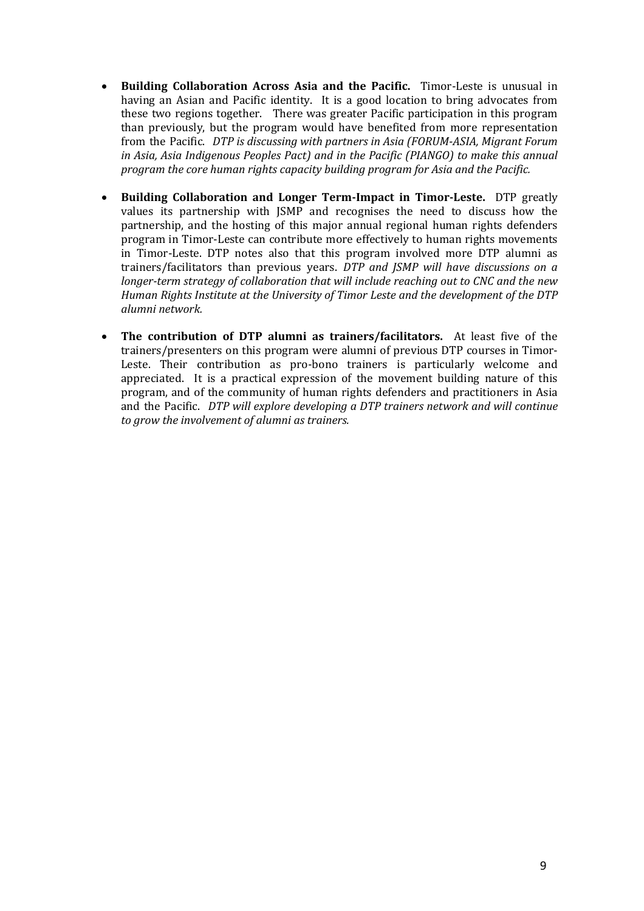- **Building Collaboration Across Asia and the Pacific.** Timor-Leste is unusual in having an Asian and Pacific identity. It is a good location to bring advocates from these two regions together. There was greater Pacific participation in this program than previously, but the program would have benefited from more representation from the Pacific. *DTP is discussing with partners in Asia (FORUM-ASIA, Migrant Forum in Asia, Asia Indigenous Peoples Pact) and in the Pacific (PIANGO) to make this annual program the core human rights capacity building program for Asia and the Pacific.*
- **Building Collaboration and Longer Term-Impact in Timor-Leste.** DTP greatly values its partnership with JSMP and recognises the need to discuss how the partnership, and the hosting of this major annual regional human rights defenders program in Timor-Leste can contribute more effectively to human rights movements in Timor-Leste. DTP notes also that this program involved more DTP alumni as trainers/facilitators than previous years. *DTP and JSMP will have discussions on a longer-term strategy of collaboration that will include reaching out to CNC and the new Human Rights Institute at the University of Timor Leste and the development of the DTP alumni network.*
- **The contribution of DTP alumni as trainers/facilitators.**At least five of the trainers/presenters on this program were alumni of previous DTP courses in Timor-Leste. Their contribution as pro-bono trainers is particularly welcome and appreciated. It is a practical expression of the movement building nature of this program, and of the community of human rights defenders and practitioners in Asia and the Pacific. *DTP will explore developing a DTP trainers network and will continue to grow the involvement of alumni as trainers.*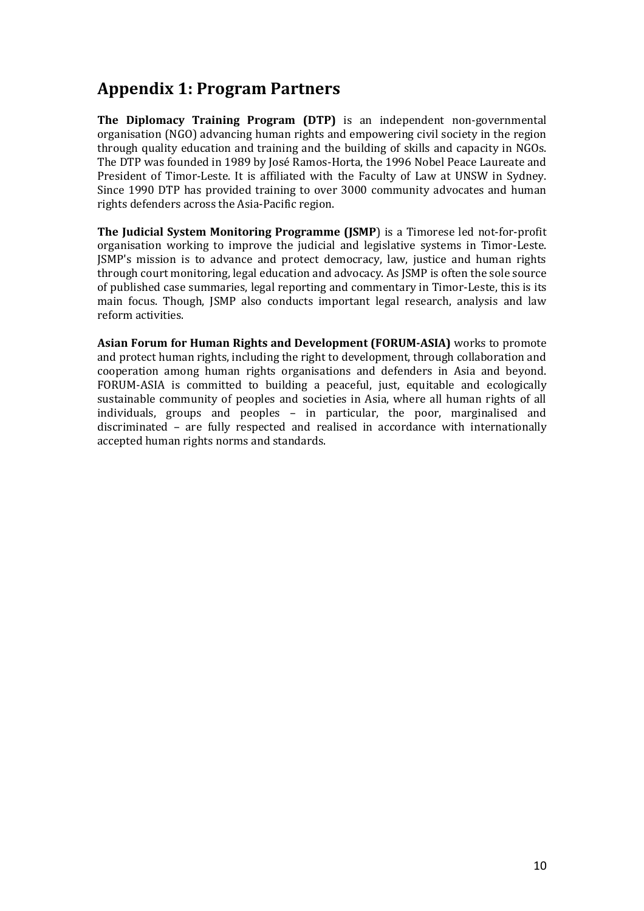# **Appendix 1: Program Partners**

**The Diplomacy Training Program (DTP)** is an independent non-governmental organisation (NGO) advancing human rights and empowering civil society in the region through quality education and training and the building of skills and capacity in NGOs. The DTP was founded in 1989 by José Ramos-Horta, the 1996 Nobel Peace Laureate and President of Timor-Leste. It is affiliated with the Faculty of Law at UNSW in Sydney. Since 1990 DTP has provided training to over 3000 community advocates and human rights defenders across the Asia-Pacific region.

**The Judicial System Monitoring Programme (JSMP**) is a Timorese led not-for-profit organisation working to improve the judicial and legislative systems in Timor-Leste. JSMP's mission is to advance and protect democracy, law, justice and human rights through court monitoring, legal education and advocacy. As JSMP is often the sole source of published case summaries, legal reporting and commentary in Timor-Leste, this is its main focus. Though, JSMP also conducts important legal research, analysis and law reform activities.

**Asian Forum for Human Rights and Development (FORUM-ASIA)** works to promote and protect human rights, including the right to development, through collaboration and cooperation among human rights organisations and defenders in Asia and beyond. FORUM-ASIA is committed to building a peaceful, just, equitable and ecologically sustainable community of peoples and societies in Asia, where all human rights of all individuals, groups and peoples – in particular, the poor, marginalised and discriminated – are fully respected and realised in accordance with internationally accepted human rights norms and standards.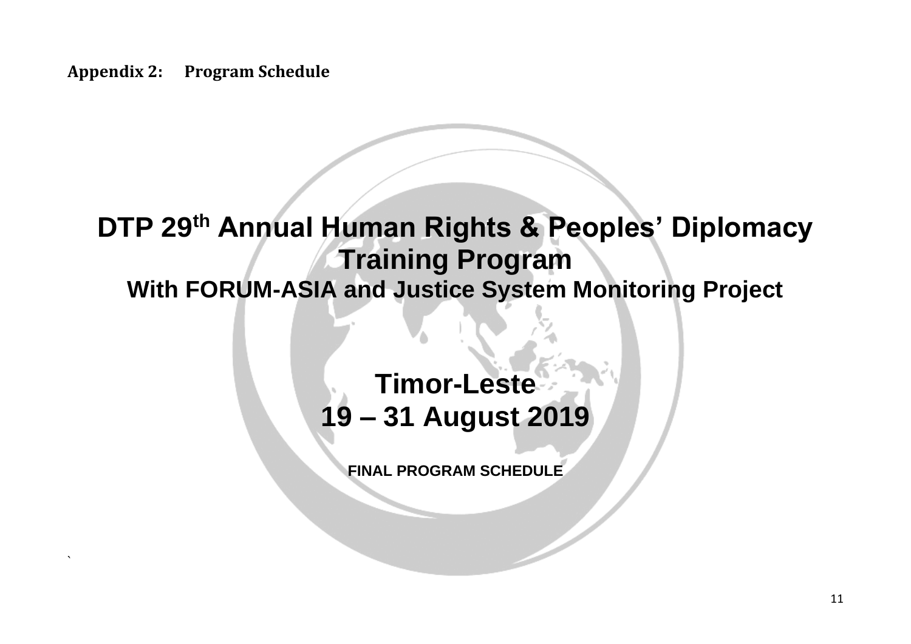**Appendix 2: Program Schedule**

`

# **DTP 29 th Annual Human Rights & Peoples' Diplomacy Training Program**

# **With FORUM-ASIA and Justice System Monitoring Project**

# **Timor-Leste 19 – 31 August 2019**

**FINAL PROGRAM SCHEDULE**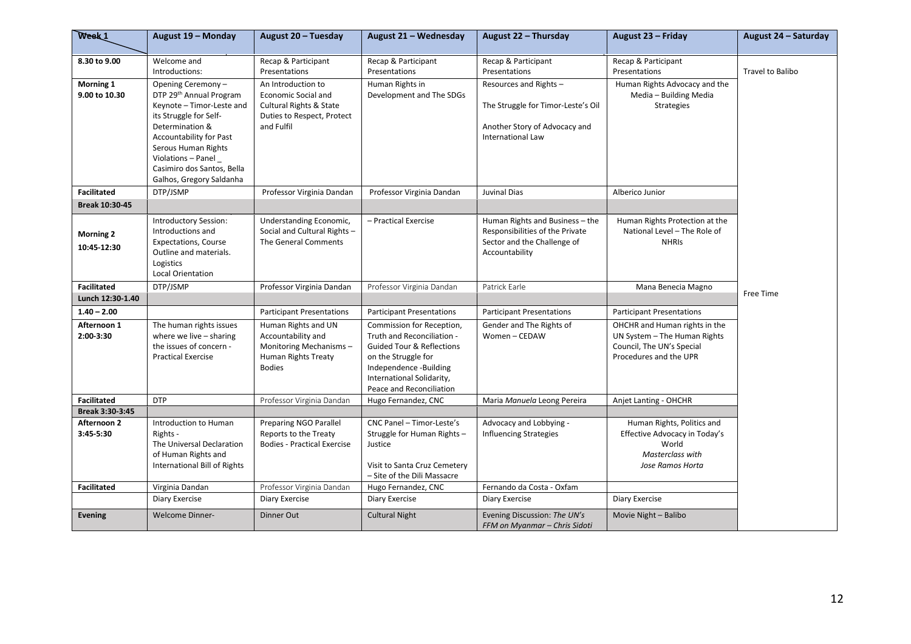| Week <sub>1</sub>               | August 19 - Monday                                                                                                                                                                                                                                              | August 20 - Tuesday                                                                                                                | August 21 - Wednesday                                                                                                                                                                                     | August 22 - Thursday                                                                                                | August 23 - Friday                                                                                                   | August 24 - Saturday    |
|---------------------------------|-----------------------------------------------------------------------------------------------------------------------------------------------------------------------------------------------------------------------------------------------------------------|------------------------------------------------------------------------------------------------------------------------------------|-----------------------------------------------------------------------------------------------------------------------------------------------------------------------------------------------------------|---------------------------------------------------------------------------------------------------------------------|----------------------------------------------------------------------------------------------------------------------|-------------------------|
| 8.30 to 9.00                    | Welcome and<br>Introductions:                                                                                                                                                                                                                                   | Recap & Participant<br>Presentations                                                                                               | Recap & Participant<br>Presentations                                                                                                                                                                      | Recap & Participant<br>Presentations                                                                                | Recap & Participant<br>Presentations                                                                                 | <b>Travel to Balibo</b> |
| Morning 1<br>9.00 to 10.30      | Opening Ceremony-<br>DTP 29th Annual Program<br>Keynote - Timor-Leste and<br>its Struggle for Self-<br>Determination &<br><b>Accountability for Past</b><br>Serous Human Rights<br>Violations - Panel<br>Casimiro dos Santos, Bella<br>Galhos, Gregory Saldanha | An Introduction to<br><b>Economic Social and</b><br><b>Cultural Rights &amp; State</b><br>Duties to Respect, Protect<br>and Fulfil | Human Rights in<br>Development and The SDGs                                                                                                                                                               | Resources and Rights-<br>The Struggle for Timor-Leste's Oil<br>Another Story of Advocacy and<br>International Law   | Human Rights Advocacy and the<br>Media - Building Media<br><b>Strategies</b>                                         |                         |
| <b>Facilitated</b>              | DTP/JSMP                                                                                                                                                                                                                                                        | Professor Virginia Dandan                                                                                                          | Professor Virginia Dandan                                                                                                                                                                                 | Juvinal Dias                                                                                                        | Alberico Junior                                                                                                      |                         |
| Break 10:30-45                  |                                                                                                                                                                                                                                                                 |                                                                                                                                    |                                                                                                                                                                                                           |                                                                                                                     |                                                                                                                      |                         |
| <b>Morning 2</b><br>10:45-12:30 | <b>Introductory Session:</b><br>Introductions and<br><b>Expectations, Course</b><br>Outline and materials.<br>Logistics<br>Local Orientation                                                                                                                    | Understanding Economic,<br>Social and Cultural Rights -<br>The General Comments                                                    | - Practical Exercise                                                                                                                                                                                      | Human Rights and Business - the<br>Responsibilities of the Private<br>Sector and the Challenge of<br>Accountability | Human Rights Protection at the<br>National Level - The Role of<br><b>NHRIS</b>                                       |                         |
| <b>Facilitated</b>              | DTP/JSMP                                                                                                                                                                                                                                                        | Professor Virginia Dandan                                                                                                          | Professor Virginia Dandan                                                                                                                                                                                 | Patrick Earle                                                                                                       | Mana Benecia Magno                                                                                                   |                         |
| Lunch 12:30-1.40                |                                                                                                                                                                                                                                                                 |                                                                                                                                    |                                                                                                                                                                                                           |                                                                                                                     |                                                                                                                      | Free Time               |
| $1.40 - 2.00$                   |                                                                                                                                                                                                                                                                 | <b>Participant Presentations</b>                                                                                                   | <b>Participant Presentations</b>                                                                                                                                                                          | <b>Participant Presentations</b>                                                                                    | <b>Participant Presentations</b>                                                                                     |                         |
| Afternoon 1<br>2:00-3:30        | The human rights issues<br>where we live $-$ sharing<br>the issues of concern -<br><b>Practical Exercise</b>                                                                                                                                                    | Human Rights and UN<br>Accountability and<br>Monitoring Mechanisms-<br>Human Rights Treaty<br><b>Bodies</b>                        | Commission for Reception,<br>Truth and Reconciliation -<br><b>Guided Tour &amp; Reflections</b><br>on the Struggle for<br>Independence -Building<br>International Solidarity,<br>Peace and Reconciliation | Gender and The Rights of<br>Women - CEDAW                                                                           | OHCHR and Human rights in the<br>UN System - The Human Rights<br>Council, The UN's Special<br>Procedures and the UPR |                         |
| <b>Facilitated</b>              | <b>DTP</b>                                                                                                                                                                                                                                                      | Professor Virginia Dandan                                                                                                          | Hugo Fernandez, CNC                                                                                                                                                                                       | Maria Manuela Leong Pereira                                                                                         | Anjet Lanting - OHCHR                                                                                                |                         |
| Break 3:30-3:45                 |                                                                                                                                                                                                                                                                 |                                                                                                                                    |                                                                                                                                                                                                           |                                                                                                                     |                                                                                                                      |                         |
| Afternoon 2<br>3:45-5:30        | Introduction to Human<br>Rights -<br>The Universal Declaration<br>of Human Rights and<br>International Bill of Rights                                                                                                                                           | <b>Preparing NGO Parallel</b><br>Reports to the Treaty<br><b>Bodies - Practical Exercise</b>                                       | CNC Panel - Timor-Leste's<br>Struggle for Human Rights -<br>Justice<br>Visit to Santa Cruz Cemetery<br>- Site of the Dili Massacre                                                                        | Advocacy and Lobbying -<br><b>Influencing Strategies</b>                                                            | Human Rights, Politics and<br>Effective Advocacy in Today's<br>World<br>Masterclass with<br>Jose Ramos Horta         |                         |
| <b>Facilitated</b>              | Virginia Dandan                                                                                                                                                                                                                                                 | Professor Virginia Dandan                                                                                                          | Hugo Fernandez, CNC                                                                                                                                                                                       | Fernando da Costa - Oxfam                                                                                           |                                                                                                                      |                         |
|                                 | Diary Exercise                                                                                                                                                                                                                                                  | Diary Exercise                                                                                                                     | Diary Exercise                                                                                                                                                                                            | Diary Exercise                                                                                                      | Diary Exercise                                                                                                       |                         |
| Evening                         | <b>Welcome Dinner-</b>                                                                                                                                                                                                                                          | Dinner Out                                                                                                                         | <b>Cultural Night</b>                                                                                                                                                                                     | Evening Discussion: The UN's<br>FFM on Myanmar - Chris Sidoti                                                       | Movie Night - Balibo                                                                                                 |                         |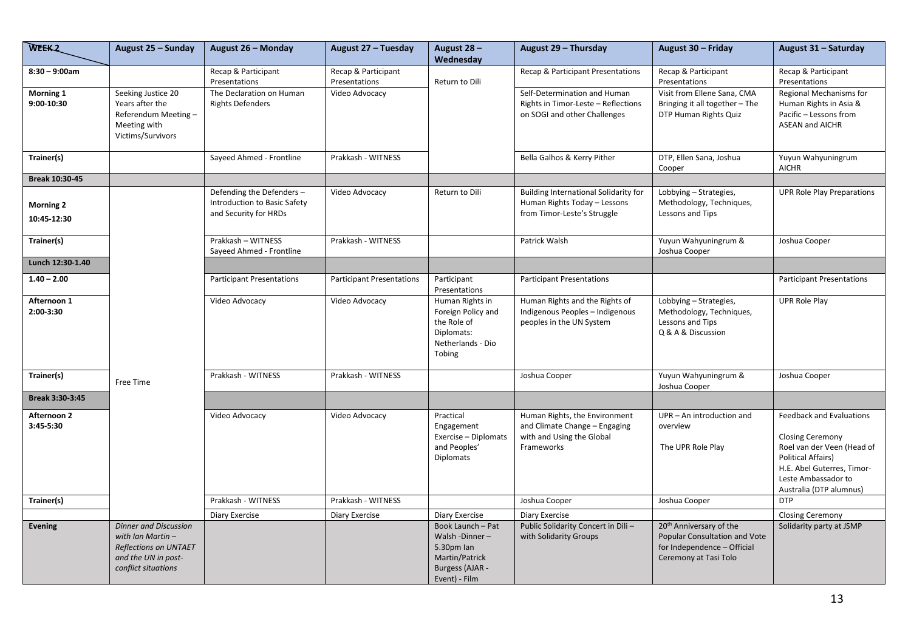| <b>WEEK2</b>                    | August 25 - Sunday                                                                                                             | August 26 - Monday                                                                | August 27 - Tuesday                  | August 28 -<br>Wednesday                                                                               | August 29 - Thursday                                                                                      | August 30 - Friday                                                                                                           | August 31 - Saturday                                                                                                                                                                                  |
|---------------------------------|--------------------------------------------------------------------------------------------------------------------------------|-----------------------------------------------------------------------------------|--------------------------------------|--------------------------------------------------------------------------------------------------------|-----------------------------------------------------------------------------------------------------------|------------------------------------------------------------------------------------------------------------------------------|-------------------------------------------------------------------------------------------------------------------------------------------------------------------------------------------------------|
| $8:30 - 9:00am$                 |                                                                                                                                | Recap & Participant<br>Presentations                                              | Recap & Participant<br>Presentations | Return to Dili                                                                                         | Recap & Participant Presentations<br>Self-Determination and Human                                         | Recap & Participant<br>Presentations<br>Visit from Ellene Sana, CMA                                                          | Recap & Participant<br>Presentations                                                                                                                                                                  |
| Morning 1<br>9:00-10:30         | Seeking Justice 20<br>Years after the<br>Referendum Meeting-<br>Meeting with<br>Victims/Survivors                              | The Declaration on Human<br><b>Rights Defenders</b>                               | Video Advocacy                       |                                                                                                        | Rights in Timor-Leste - Reflections<br>on SOGI and other Challenges                                       | Bringing it all together - The<br>DTP Human Rights Quiz                                                                      | Regional Mechanisms for<br>Human Rights in Asia &<br>Pacific - Lessons from<br><b>ASEAN and AICHR</b>                                                                                                 |
| Trainer(s)                      |                                                                                                                                | Sayeed Ahmed - Frontline                                                          | Prakkash - WITNESS                   |                                                                                                        | Bella Galhos & Kerry Pither                                                                               | DTP, Ellen Sana, Joshua<br>Cooper                                                                                            | Yuyun Wahyuningrum<br><b>AICHR</b>                                                                                                                                                                    |
| Break 10:30-45                  |                                                                                                                                |                                                                                   |                                      |                                                                                                        |                                                                                                           |                                                                                                                              |                                                                                                                                                                                                       |
| <b>Morning 2</b><br>10:45-12:30 |                                                                                                                                | Defending the Defenders-<br>Introduction to Basic Safety<br>and Security for HRDs | Video Advocacy                       | Return to Dili                                                                                         | Building International Solidarity for<br>Human Rights Today - Lessons<br>from Timor-Leste's Struggle      | Lobbying - Strategies,<br>Methodology, Techniques,<br>Lessons and Tips                                                       | <b>UPR Role Play Preparations</b>                                                                                                                                                                     |
| Trainer(s)                      |                                                                                                                                | Prakkash - WITNESS<br>Sayeed Ahmed - Frontline                                    | Prakkash - WITNESS                   |                                                                                                        | Patrick Walsh                                                                                             | Yuyun Wahyuningrum &<br>Joshua Cooper                                                                                        | Joshua Cooper                                                                                                                                                                                         |
| Lunch 12:30-1.40                |                                                                                                                                |                                                                                   |                                      |                                                                                                        |                                                                                                           |                                                                                                                              |                                                                                                                                                                                                       |
| $1.40 - 2.00$                   |                                                                                                                                | <b>Participant Presentations</b>                                                  | <b>Participant Presentations</b>     | Participant<br>Presentations                                                                           | <b>Participant Presentations</b>                                                                          |                                                                                                                              | <b>Participant Presentations</b>                                                                                                                                                                      |
| Afternoon 1<br>2:00-3:30        |                                                                                                                                | Video Advocacy                                                                    | Video Advocacy                       | Human Rights in<br>Foreign Policy and<br>the Role of<br>Diplomats:<br>Netherlands - Dio<br>Tobing      | Human Rights and the Rights of<br>Indigenous Peoples - Indigenous<br>peoples in the UN System             | Lobbying - Strategies,<br>Methodology, Techniques,<br>Lessons and Tips<br>Q & A & Discussion                                 | <b>UPR Role Play</b>                                                                                                                                                                                  |
| Trainer(s)                      | Free Time                                                                                                                      | Prakkash - WITNESS                                                                | Prakkash - WITNESS                   |                                                                                                        | Joshua Cooper                                                                                             | Yuyun Wahyuningrum &<br>Joshua Cooper                                                                                        | Joshua Cooper                                                                                                                                                                                         |
| Break 3:30-3:45                 |                                                                                                                                |                                                                                   |                                      |                                                                                                        |                                                                                                           |                                                                                                                              |                                                                                                                                                                                                       |
| Afternoon 2<br>3:45-5:30        |                                                                                                                                | Video Advocacy                                                                    | Video Advocacy                       | Practical<br>Engagement<br>Exercise - Diplomats<br>and Peoples'<br><b>Diplomats</b>                    | Human Rights, the Environment<br>and Climate Change - Engaging<br>with and Using the Global<br>Frameworks | UPR - An introduction and<br>overview<br>The UPR Role Play                                                                   | <b>Feedback and Evaluations</b><br><b>Closing Ceremony</b><br>Roel van der Veen (Head of<br><b>Political Affairs)</b><br>H.E. Abel Guterres, Timor-<br>Leste Ambassador to<br>Australia (DTP alumnus) |
| Trainer(s)                      |                                                                                                                                | Prakkash - WITNESS                                                                | Prakkash - WITNESS                   |                                                                                                        | Joshua Cooper                                                                                             | Joshua Cooper                                                                                                                | <b>DTP</b>                                                                                                                                                                                            |
|                                 |                                                                                                                                | <b>Diary Exercise</b>                                                             | Diary Exercise                       | <b>Diary Exercise</b>                                                                                  | Diary Exercise                                                                                            |                                                                                                                              | <b>Closing Ceremony</b>                                                                                                                                                                               |
| <b>Evening</b>                  | <b>Dinner and Discussion</b><br>with Ian Martin-<br><b>Reflections on UNTAET</b><br>and the UN in post-<br>conflict situations |                                                                                   |                                      | Book Launch - Pat<br>Walsh-Dinner-<br>5.30pm lan<br>Martin/Patrick<br>Burgess (AJAR -<br>Event) - Film | Public Solidarity Concert in Dili-<br>with Solidarity Groups                                              | 20 <sup>th</sup> Anniversary of the<br>Popular Consultation and Vote<br>for Independence - Official<br>Ceremony at Tasi Tolo | Solidarity party at JSMP                                                                                                                                                                              |